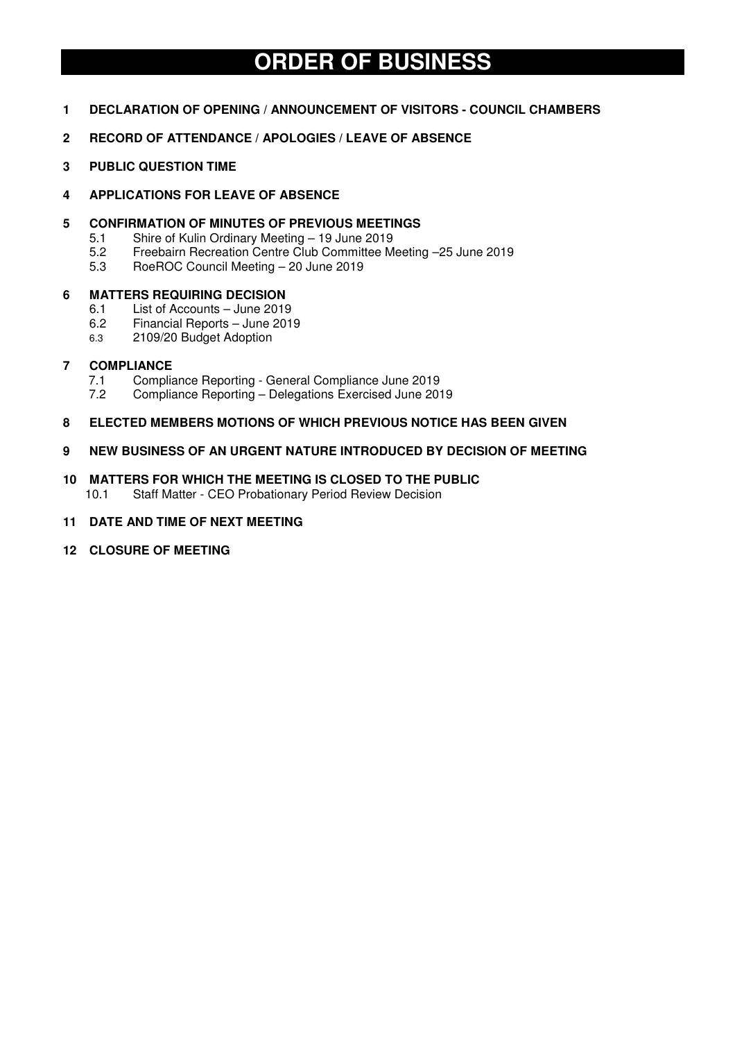# **ORDER OF BUSINESS**

- **1 DECLARATION OF OPENING / ANNOUNCEMENT OF VISITORS COUNCIL CHAMBERS**
- **2 RECORD OF ATTENDANCE / APOLOGIES / LEAVE OF ABSENCE**
- **3 PUBLIC QUESTION TIME**
- **4 APPLICATIONS FOR LEAVE OF ABSENCE**
- **5 CONFIRMATION OF MINUTES OF PREVIOUS MEETINGS** 
	- 5.1 Shire of Kulin Ordinary Meeting 19 June 2019
	- 5.2 Freebairn Recreation Centre Club Committee Meeting –25 June 2019
	- 5.3 RoeROC Council Meeting 20 June 2019

# **6 MATTERS REQUIRING DECISION**

- 6.1 List of Accounts June 2019
- 6.2 Financial Reports June 2019
- 6.3 2109/20 Budget Adoption

# **7 COMPLIANCE**

- 7.1 Compliance Reporting General Compliance June 2019<br>7.2 Compliance Reporting Delegations Exercised June 201
- 7.2 Compliance Reporting Delegations Exercised June 2019

# **8 ELECTED MEMBERS MOTIONS OF WHICH PREVIOUS NOTICE HAS BEEN GIVEN**

- **9 NEW BUSINESS OF AN URGENT NATURE INTRODUCED BY DECISION OF MEETING**
- **10 MATTERS FOR WHICH THE MEETING IS CLOSED TO THE PUBLIC**  10.1 Staff Matter - CEO Probationary Period Review Decision
- **11 DATE AND TIME OF NEXT MEETING**
- **12 CLOSURE OF MEETING**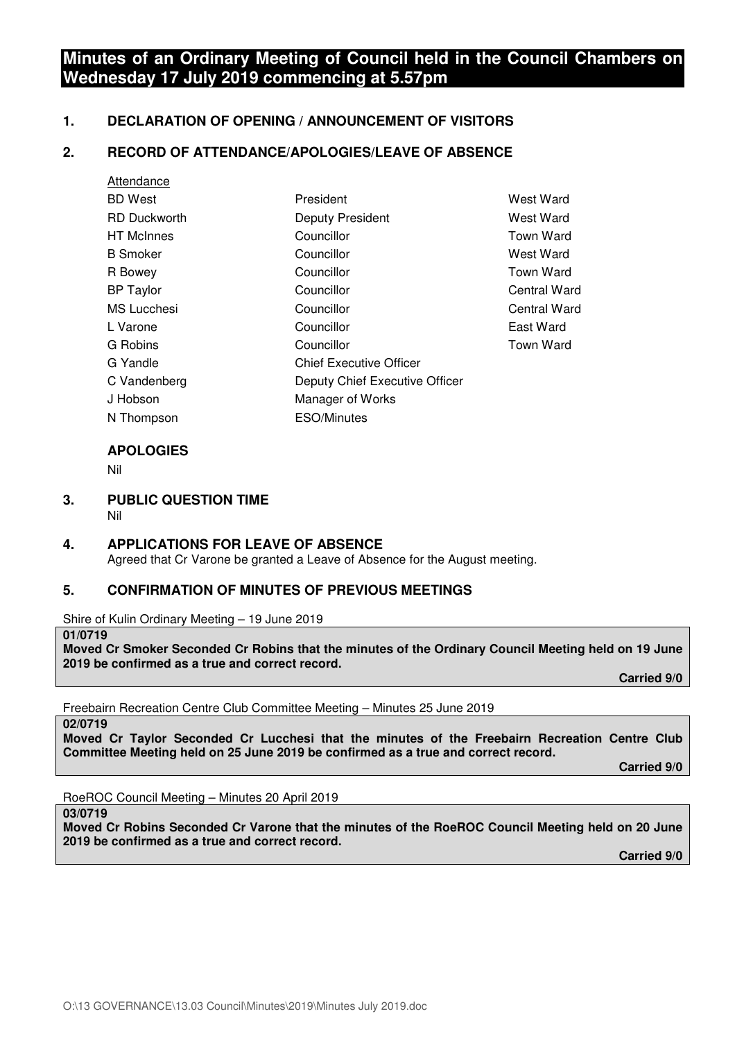# **Minutes of an Ordinary Meeting of Council held in the Council Chambers on Wednesday 17 July 2019 commencing at 5.57pm**

# **1. DECLARATION OF OPENING / ANNOUNCEMENT OF VISITORS**

# **2. RECORD OF ATTENDANCE/APOLOGIES/LEAVE OF ABSENCE**

| Attendance          |                                |                  |
|---------------------|--------------------------------|------------------|
| <b>BD</b> West      | President                      | <b>West Ward</b> |
| <b>RD Duckworth</b> | <b>Deputy President</b>        | West Ward        |
| <b>HT</b> McInnes   | Councillor                     | Town Ward        |
| <b>B</b> Smoker     | Councillor                     | West Ward        |
| R Bowey             | Councillor                     | Town Ward        |
| <b>BP Taylor</b>    | Councillor                     | Central Ward     |
| <b>MS</b> Lucchesi  | Councillor                     | Central Ward     |
| L Varone            | Councillor                     | East Ward        |
| G Robins            | Councillor                     | <b>Town Ward</b> |
| G Yandle            | <b>Chief Executive Officer</b> |                  |
| C Vandenberg        | Deputy Chief Executive Officer |                  |
| J Hobson            | Manager of Works               |                  |
| N Thompson          | <b>ESO/Minutes</b>             |                  |
|                     |                                |                  |

# **APOLOGIES**

Nil

- **3. PUBLIC QUESTION TIME** 
	- Nil

# **4. APPLICATIONS FOR LEAVE OF ABSENCE**  Agreed that Cr Varone be granted a Leave of Absence for the August meeting.

# **5. CONFIRMATION OF MINUTES OF PREVIOUS MEETINGS**

Shire of Kulin Ordinary Meeting – 19 June 2019

#### **01/0719**

**Moved Cr Smoker Seconded Cr Robins that the minutes of the Ordinary Council Meeting held on 19 June 2019 be confirmed as a true and correct record.** 

 **Carried 9/0** 

Freebairn Recreation Centre Club Committee Meeting – Minutes 25 June 2019

**02/0719** 

**Moved Cr Taylor Seconded Cr Lucchesi that the minutes of the Freebairn Recreation Centre Club Committee Meeting held on 25 June 2019 be confirmed as a true and correct record.** 

 **Carried 9/0** 

RoeROC Council Meeting – Minutes 20 April 2019

**03/0719** 

**Moved Cr Robins Seconded Cr Varone that the minutes of the RoeROC Council Meeting held on 20 June 2019 be confirmed as a true and correct record.** 

 **Carried 9/0**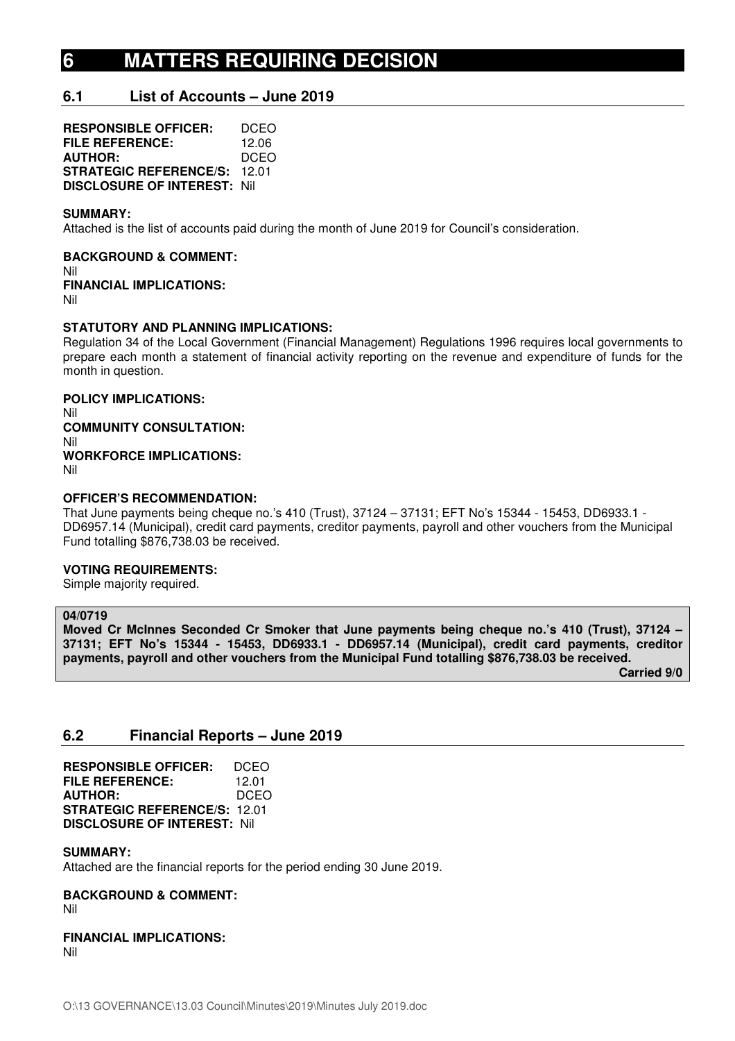# **6 MATTERS REQUIRING DECISION**

# **6.1 List of Accounts – June 2019**

**RESPONSIBLE OFFICER:** DCEO **FILE REFERENCE:** 12.06<br>**AUTHOR:** DCEO **AUTHOR: STRATEGIC REFERENCE/S:** 12.01 **DISCLOSURE OF INTEREST:** Nil

## **SUMMARY:**

Attached is the list of accounts paid during the month of June 2019 for Council's consideration.

**BACKGROUND & COMMENT:**  Nil **FINANCIAL IMPLICATIONS:**  Nil

## **STATUTORY AND PLANNING IMPLICATIONS:**

Regulation 34 of the Local Government (Financial Management) Regulations 1996 requires local governments to prepare each month a statement of financial activity reporting on the revenue and expenditure of funds for the month in question.

# **POLICY IMPLICATIONS:**

Nil **COMMUNITY CONSULTATION:**  Nil **WORKFORCE IMPLICATIONS:**  Nil

#### **OFFICER'S RECOMMENDATION:**

That June payments being cheque no.'s 410 (Trust), 37124 – 37131; EFT No's 15344 - 15453, DD6933.1 - DD6957.14 (Municipal), credit card payments, creditor payments, payroll and other vouchers from the Municipal Fund totalling \$876,738.03 be received.

## **VOTING REQUIREMENTS:**

Simple majority required.

# **04/0719**

**Moved Cr McInnes Seconded Cr Smoker that June payments being cheque no.'s 410 (Trust), 37124 – 37131; EFT No's 15344 - 15453, DD6933.1 - DD6957.14 (Municipal), credit card payments, creditor payments, payroll and other vouchers from the Municipal Fund totalling \$876,738.03 be received.** 

 **Carried 9/0** 

# **6.2 Financial Reports – June 2019**

**RESPONSIBLE OFFICER:** DCEO **FILE REFERENCE:** 12.01 **AUTHOR:** DCEO **STRATEGIC REFERENCE/S:** 12.01 **DISCLOSURE OF INTEREST:** Nil

## **SUMMARY:**

Attached are the financial reports for the period ending 30 June 2019.

#### **BACKGROUND & COMMENT:**  Nil

**FINANCIAL IMPLICATIONS:**  Nil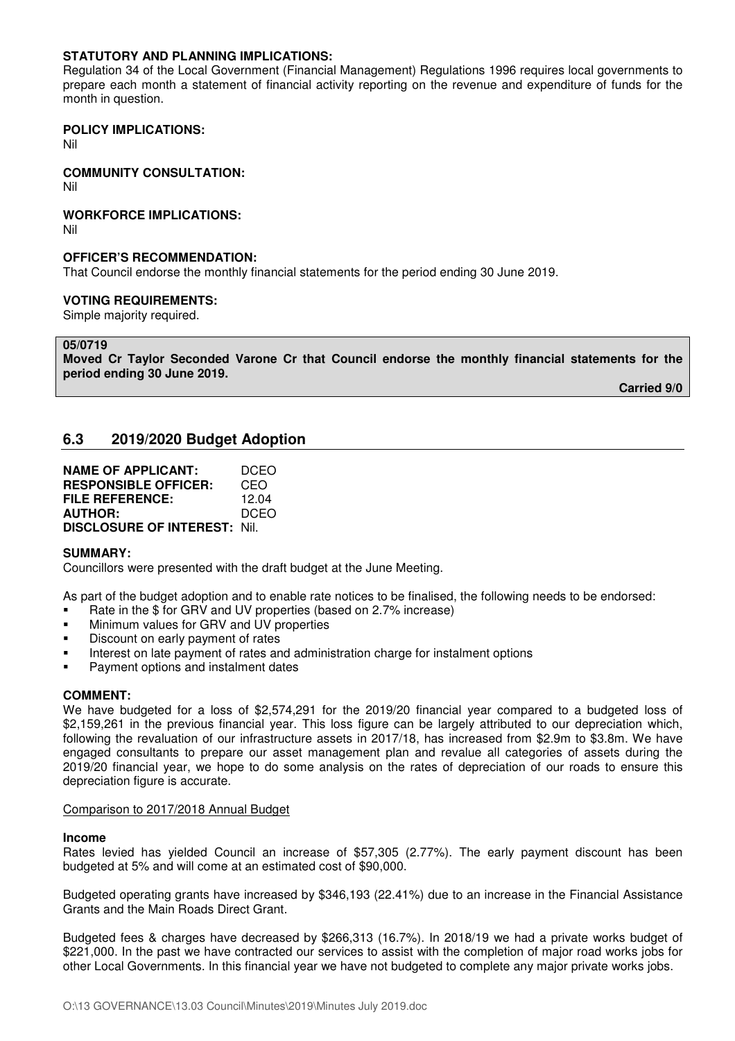# **STATUTORY AND PLANNING IMPLICATIONS:**

Regulation 34 of the Local Government (Financial Management) Regulations 1996 requires local governments to prepare each month a statement of financial activity reporting on the revenue and expenditure of funds for the month in question.

# **POLICY IMPLICATIONS:**

Nil

# **COMMUNITY CONSULTATION:**

Nil

# **WORKFORCE IMPLICATIONS:**

Nil

# **OFFICER'S RECOMMENDATION:**

That Council endorse the monthly financial statements for the period ending 30 June 2019.

#### **VOTING REQUIREMENTS:**

Simple majority required.

# **05/0719**

**Moved Cr Taylor Seconded Varone Cr that Council endorse the monthly financial statements for the period ending 30 June 2019.** 

 **Carried 9/0** 

# **6.3 2019/2020 Budget Adoption**

| <b>NAME OF APPLICANT:</b>           | DCEO  |
|-------------------------------------|-------|
| <b>RESPONSIBLE OFFICER:</b>         | CEO   |
| <b>FILE REFERENCE:</b>              | 12.04 |
| <b>AUTHOR:</b>                      | DCEO  |
| <b>DISCLOSURE OF INTEREST: Nil.</b> |       |

## **SUMMARY:**

Councillors were presented with the draft budget at the June Meeting.

As part of the budget adoption and to enable rate notices to be finalised, the following needs to be endorsed:

- Rate in the \$ for GRV and UV properties (based on 2.7% increase)
- Minimum values for GRV and UV properties
- Discount on early payment of rates
- Interest on late payment of rates and administration charge for instalment options
- **Payment options and instalment dates**

## **COMMENT:**

We have budgeted for a loss of \$2,574,291 for the 2019/20 financial year compared to a budgeted loss of \$2,159,261 in the previous financial year. This loss figure can be largely attributed to our depreciation which, following the revaluation of our infrastructure assets in 2017/18, has increased from \$2.9m to \$3.8m. We have engaged consultants to prepare our asset management plan and revalue all categories of assets during the 2019/20 financial year, we hope to do some analysis on the rates of depreciation of our roads to ensure this depreciation figure is accurate.

## Comparison to 2017/2018 Annual Budget

#### **Income**

Rates levied has yielded Council an increase of \$57,305 (2.77%). The early payment discount has been budgeted at 5% and will come at an estimated cost of \$90,000.

Budgeted operating grants have increased by \$346,193 (22.41%) due to an increase in the Financial Assistance Grants and the Main Roads Direct Grant.

Budgeted fees & charges have decreased by \$266,313 (16.7%). In 2018/19 we had a private works budget of \$221,000. In the past we have contracted our services to assist with the completion of major road works jobs for other Local Governments. In this financial year we have not budgeted to complete any major private works jobs.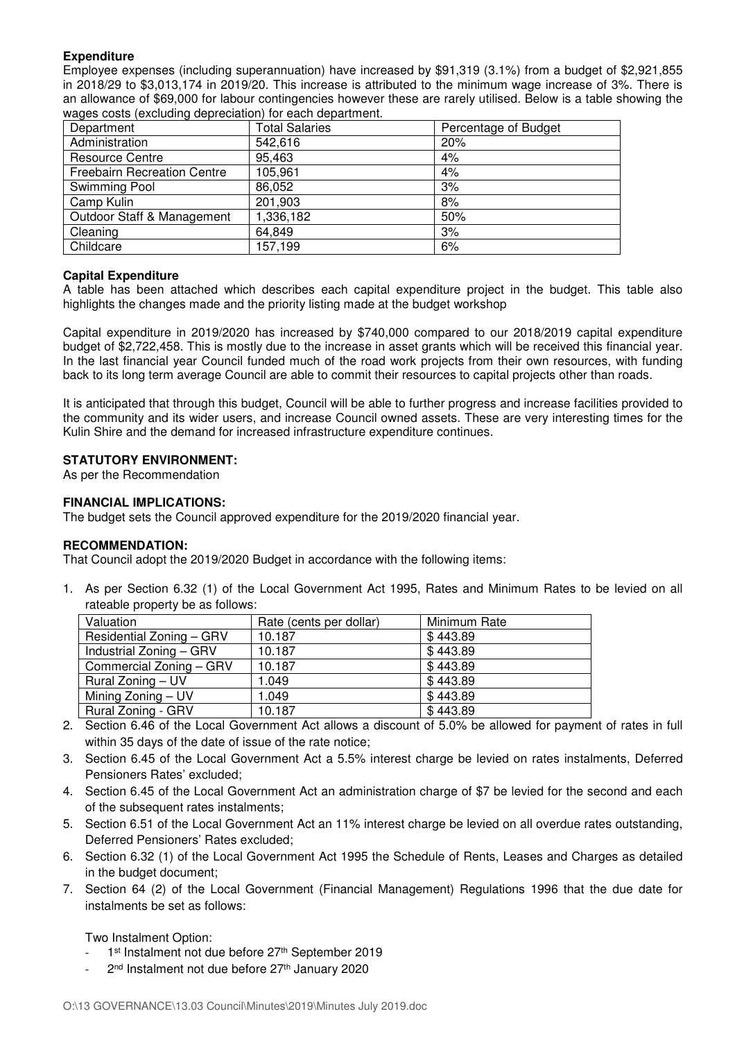# **Expenditure**

Employee expenses (including superannuation) have increased by \$91,319 (3.1%) from a budget of \$2,921,855 in 2018/29 to \$3,013,174 in 2019/20. This increase is attributed to the minimum wage increase of 3%. There is an allowance of \$69,000 for labour contingencies however these are rarely utilised. Below is a table showing the wages costs (excluding depreciation) for each department.

| Department                         | <b>Total Salaries</b> | Percentage of Budget |
|------------------------------------|-----------------------|----------------------|
| Administration                     | 542,616               | 20%                  |
| <b>Resource Centre</b>             | 95,463                | 4%                   |
| <b>Freebairn Recreation Centre</b> | 105,961               | 4%                   |
| Swimming Pool                      | 86,052                | 3%                   |
| Camp Kulin                         | 201,903               | 8%                   |
| Outdoor Staff & Management         | 1,336,182             | 50%                  |
| Cleaning                           | 64,849                | 3%                   |
| Childcare                          | 157,199               | 6%                   |

# **Capital Expenditure**

A table has been attached which describes each capital expenditure project in the budget. This table also highlights the changes made and the priority listing made at the budget workshop

Capital expenditure in 2019/2020 has increased by \$740,000 compared to our 2018/2019 capital expenditure budget of \$2,722,458. This is mostly due to the increase in asset grants which will be received this financial year. In the last financial year Council funded much of the road work projects from their own resources, with funding back to its long term average Council are able to commit their resources to capital projects other than roads.

It is anticipated that through this budget, Council will be able to further progress and increase facilities provided to the community and its wider users, and increase Council owned assets. These are very interesting times for the Kulin Shire and the demand for increased infrastructure expenditure continues.

# **STATUTORY ENVIRONMENT:**

As per the Recommendation

# **FINANCIAL IMPLICATIONS:**

The budget sets the Council approved expenditure for the 2019/2020 financial year.

## **RECOMMENDATION:**

That Council adopt the 2019/2020 Budget in accordance with the following items:

1. As per Section 6.32 (1) of the Local Government Act 1995, Rates and Minimum Rates to be levied on all rateable property be as follows:

| Valuation                | Rate (cents per dollar) | Minimum Rate |
|--------------------------|-------------------------|--------------|
| Residential Zoning - GRV | 10.187                  | \$443.89     |
| Industrial Zoning - GRV  | 10.187                  | \$443.89     |
| Commercial Zoning - GRV  | 10.187                  | \$443.89     |
| Rural Zoning - UV        | 1.049                   | \$443.89     |
| Mining Zoning - UV       | 1.049                   | \$443.89     |
| Rural Zoning - GRV       | 10.187                  | \$443.89     |

- 2. Section 6.46 of the Local Government Act allows a discount of 5.0% be allowed for payment of rates in full within 35 days of the date of issue of the rate notice;
- 3. Section 6.45 of the Local Government Act a 5.5% interest charge be levied on rates instalments, Deferred Pensioners Rates' excluded;
- 4. Section 6.45 of the Local Government Act an administration charge of \$7 be levied for the second and each of the subsequent rates instalments;
- 5. Section 6.51 of the Local Government Act an 11% interest charge be levied on all overdue rates outstanding, Deferred Pensioners' Rates excluded;
- 6. Section 6.32 (1) of the Local Government Act 1995 the Schedule of Rents, Leases and Charges as detailed in the budget document;
- 7. Section 64 (2) of the Local Government (Financial Management) Regulations 1996 that the due date for instalments be set as follows:

Two Instalment Option:

- 1<sup>st</sup> Instalment not due before 27<sup>th</sup> September 2019
- 2<sup>nd</sup> Instalment not due before 27<sup>th</sup> January 2020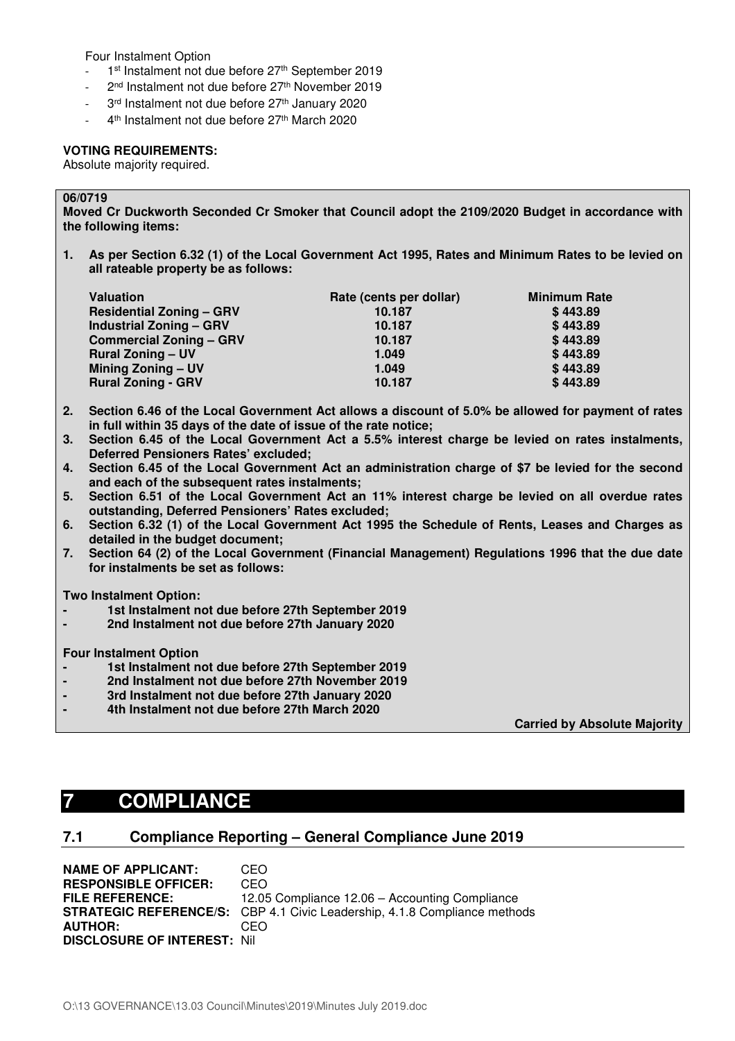Four Instalment Option

- 1<sup>st</sup> Instalment not due before 27<sup>th</sup> September 2019
- 2<sup>nd</sup> Instalment not due before 27<sup>th</sup> November 2019
- 3rd Instalment not due before 27<sup>th</sup> January 2020
- 4<sup>th</sup> Instalment not due before 27<sup>th</sup> March 2020

# **VOTING REQUIREMENTS:**

Absolute majority required.

# **06/0719**

**Moved Cr Duckworth Seconded Cr Smoker that Council adopt the 2109/2020 Budget in accordance with the following items:** 

**1. As per Section 6.32 (1) of the Local Government Act 1995, Rates and Minimum Rates to be levied on all rateable property be as follows:** 

| <b>Valuation</b>                | Rate (cents per dollar) | <b>Minimum Rate</b> |
|---------------------------------|-------------------------|---------------------|
| <b>Residential Zoning - GRV</b> | 10.187                  | \$443.89            |
| <b>Industrial Zoning - GRV</b>  | 10.187                  | \$443.89            |
| <b>Commercial Zoning - GRV</b>  | 10.187                  | \$443.89            |
| <b>Rural Zoning - UV</b>        | 1.049                   | \$443.89            |
| Mining Zoning - UV              | 1.049                   | \$443.89            |
| <b>Rural Zoning - GRV</b>       | 10.187                  | \$443.89            |

- **2. Section 6.46 of the Local Government Act allows a discount of 5.0% be allowed for payment of rates in full within 35 days of the date of issue of the rate notice;**
- **3. Section 6.45 of the Local Government Act a 5.5% interest charge be levied on rates instalments, Deferred Pensioners Rates' excluded;**
- **4. Section 6.45 of the Local Government Act an administration charge of \$7 be levied for the second and each of the subsequent rates instalments;**
- **5. Section 6.51 of the Local Government Act an 11% interest charge be levied on all overdue rates outstanding, Deferred Pensioners' Rates excluded;**
- **6. Section 6.32 (1) of the Local Government Act 1995 the Schedule of Rents, Leases and Charges as detailed in the budget document;**
- **7. Section 64 (2) of the Local Government (Financial Management) Regulations 1996 that the due date for instalments be set as follows:**

**Two Instalment Option:** 

- **1st Instalment not due before 27th September 2019**
- **2nd Instalment not due before 27th January 2020**

**Four Instalment Option** 

- **1st Instalment not due before 27th September 2019**
- **2nd Instalment not due before 27th November 2019**
- **3rd Instalment not due before 27th January 2020**
- **4th Instalment not due before 27th March 2020**

 **Carried by Absolute Majority**

# **7 COMPLIANCE**

# **7.1 Compliance Reporting – General Compliance June 2019**

**NAME OF APPLICANT:** CEO **RESPONSIBLE OFFICER:** CEO **FILE REFERENCE:** 12.05 Compliance 12.06 – Accounting Compliance **STRATEGIC REFERENCE/S:** CBP 4.1 Civic Leadership, 4.1.8 Compliance methods **AUTHOR:** CEO **DISCLOSURE OF INTEREST:** Nil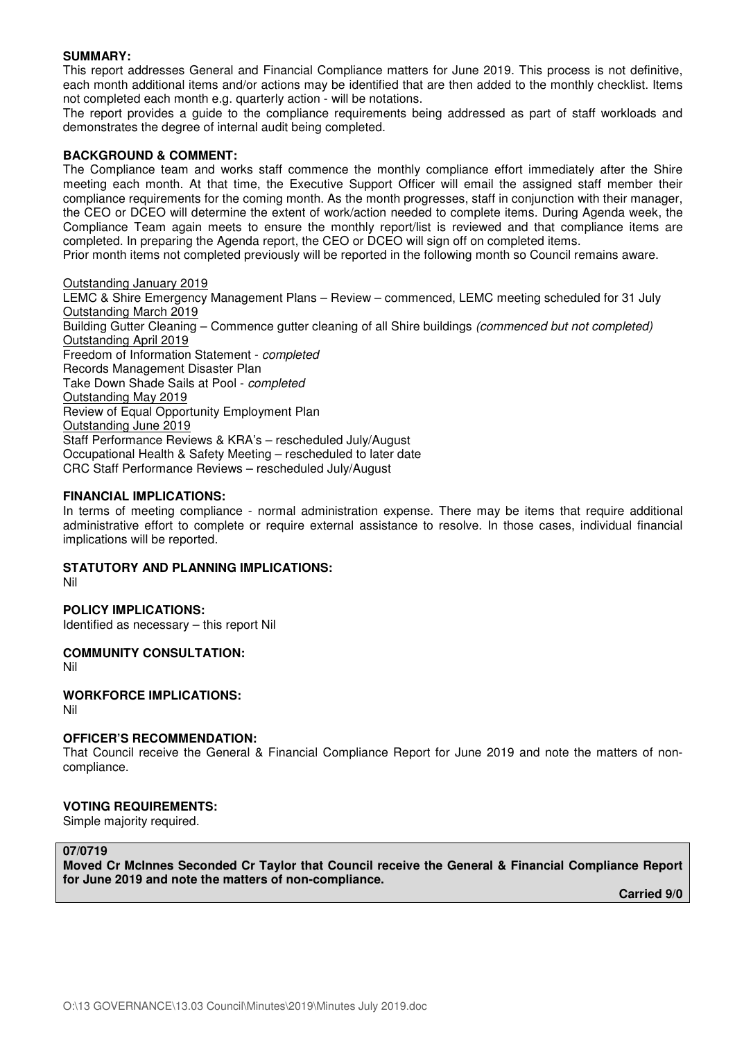# **SUMMARY:**

This report addresses General and Financial Compliance matters for June 2019. This process is not definitive, each month additional items and/or actions may be identified that are then added to the monthly checklist. Items not completed each month e.g. quarterly action - will be notations.

The report provides a guide to the compliance requirements being addressed as part of staff workloads and demonstrates the degree of internal audit being completed.

# **BACKGROUND & COMMENT:**

The Compliance team and works staff commence the monthly compliance effort immediately after the Shire meeting each month. At that time, the Executive Support Officer will email the assigned staff member their compliance requirements for the coming month. As the month progresses, staff in conjunction with their manager, the CEO or DCEO will determine the extent of work/action needed to complete items. During Agenda week, the Compliance Team again meets to ensure the monthly report/list is reviewed and that compliance items are completed. In preparing the Agenda report, the CEO or DCEO will sign off on completed items. Prior month items not completed previously will be reported in the following month so Council remains aware.

## Outstanding January 2019

LEMC & Shire Emergency Management Plans – Review – commenced, LEMC meeting scheduled for 31 July Outstanding March 2019 Building Gutter Cleaning – Commence gutter cleaning of all Shire buildings (commenced but not completed) Outstanding April 2019 Freedom of Information Statement - completed Records Management Disaster Plan Take Down Shade Sails at Pool - completed Outstanding May 2019 Review of Equal Opportunity Employment Plan Outstanding June 2019 Staff Performance Reviews & KRA's – rescheduled July/August Occupational Health & Safety Meeting – rescheduled to later date CRC Staff Performance Reviews – rescheduled July/August

# **FINANCIAL IMPLICATIONS:**

In terms of meeting compliance - normal administration expense. There may be items that require additional administrative effort to complete or require external assistance to resolve. In those cases, individual financial implications will be reported.

# **STATUTORY AND PLANNING IMPLICATIONS:**

Nil

## **POLICY IMPLICATIONS:**

Identified as necessary – this report Nil

## **COMMUNITY CONSULTATION:**

Nil

## **WORKFORCE IMPLICATIONS:**

Nil

## **OFFICER'S RECOMMENDATION:**

That Council receive the General & Financial Compliance Report for June 2019 and note the matters of noncompliance.

## **VOTING REQUIREMENTS:**

Simple majority required.

# **07/0719**

**Moved Cr McInnes Seconded Cr Taylor that Council receive the General & Financial Compliance Report for June 2019 and note the matters of non-compliance.** 

**Carried 9/0**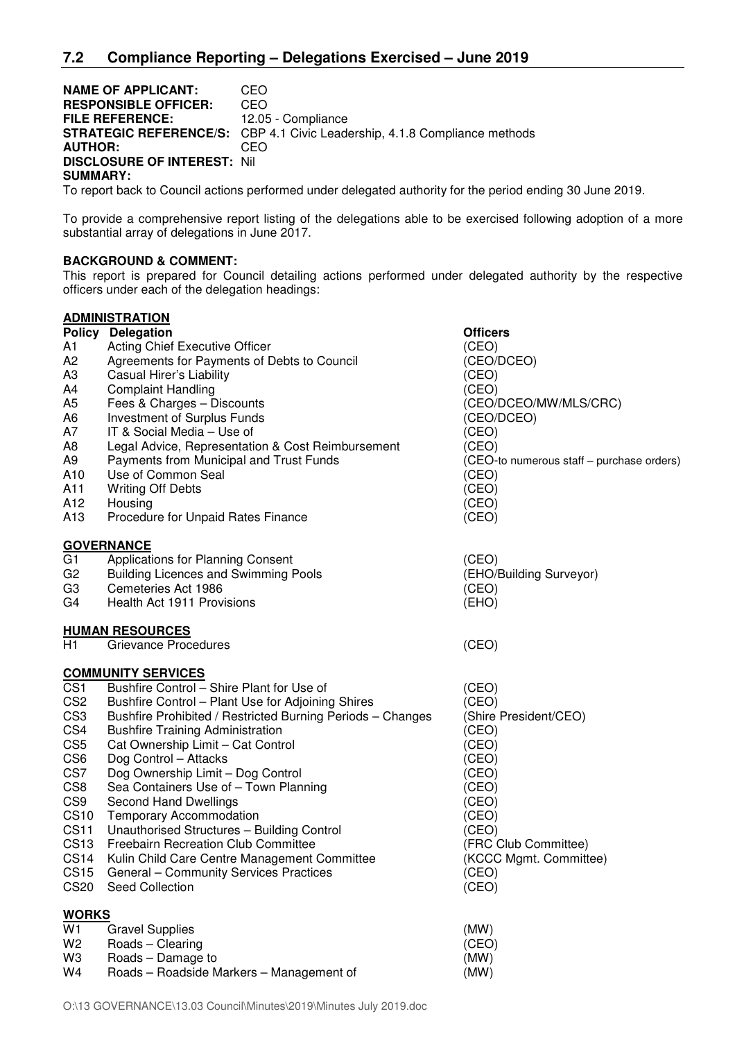# **NAME OF APPLICANT: CEO<br>
RESPONSIBLE OFFICER: CEO**

**RESPONSIBLE OFFICER:**<br>FILE REFERENCE: 12.05 - Compliance **STRATEGIC REFERENCE/S:** CBP 4.1 Civic Leadership, 4.1.8 Compliance methods **AUTHOR:** CEO **DISCLOSURE OF INTEREST:** Nil **SUMMARY:** 

To report back to Council actions performed under delegated authority for the period ending 30 June 2019.

To provide a comprehensive report listing of the delegations able to be exercised following adoption of a more substantial array of delegations in June 2017.

# **BACKGROUND & COMMENT:**

This report is prepared for Council detailing actions performed under delegated authority by the respective officers under each of the delegation headings:

|                  | <b>ADMINISTRATION</b>                                      |                                           |
|------------------|------------------------------------------------------------|-------------------------------------------|
|                  | <b>Policy Delegation</b>                                   | <b>Officers</b>                           |
| A1               | <b>Acting Chief Executive Officer</b>                      | (CEO)                                     |
| A2               | Agreements for Payments of Debts to Council                | (CEO/DCEO)                                |
| АЗ               | Casual Hirer's Liability                                   | (CEO)                                     |
| A4               | <b>Complaint Handling</b>                                  | (CEO)                                     |
| A5               | Fees & Charges - Discounts                                 | (CEO/DCEO/MW/MLS/CRC)                     |
| A6               | Investment of Surplus Funds                                | (CEO/DCEO)                                |
| Α7               | IT & Social Media - Use of                                 | (CEO)                                     |
| A8               | Legal Advice, Representation & Cost Reimbursement          | (CEO)                                     |
| A9               | Payments from Municipal and Trust Funds                    | (CEO-to numerous staff - purchase orders) |
| A10              | Use of Common Seal                                         | (CEO)                                     |
| A11              | <b>Writing Off Debts</b>                                   | (CEO)                                     |
| A12              | Housing                                                    | (CEO)                                     |
| A13              | Procedure for Unpaid Rates Finance                         | (CEO)                                     |
|                  | <b>GOVERNANCE</b>                                          |                                           |
| G1               | Applications for Planning Consent                          | (CEO)                                     |
| G2               | <b>Building Licences and Swimming Pools</b>                | (EHO/Building Surveyor)                   |
| G3               | Cemeteries Act 1986                                        | (CEO)                                     |
| G4               | Health Act 1911 Provisions                                 | (EHO)                                     |
|                  | <b>HUMAN RESOURCES</b>                                     |                                           |
| H1               | Grievance Procedures                                       | (CEO)                                     |
|                  | <b>COMMUNITY SERVICES</b>                                  |                                           |
| CS <sub>1</sub>  | Bushfire Control - Shire Plant for Use of                  | (CEO)                                     |
| CS <sub>2</sub>  | Bushfire Control - Plant Use for Adjoining Shires          | (CEO)                                     |
| CS <sub>3</sub>  | Bushfire Prohibited / Restricted Burning Periods - Changes | (Shire President/CEO)                     |
| CS4              | <b>Bushfire Training Administration</b>                    | (CEO)                                     |
| CS <sub>5</sub>  | Cat Ownership Limit - Cat Control                          | (CEO)                                     |
| CS <sub>6</sub>  | Dog Control - Attacks                                      | (CEO)                                     |
| CS7              | Dog Ownership Limit - Dog Control                          | (CEO)                                     |
| CS8              | Sea Containers Use of - Town Planning                      | (CEO)                                     |
| CS <sub>9</sub>  | Second Hand Dwellings                                      | (CEO)                                     |
| <b>CS10</b>      | <b>Temporary Accommodation</b>                             | (CEO)                                     |
| <b>CS11</b>      | Unauthorised Structures - Building Control                 | (CEO)                                     |
| <b>CS13</b>      | <b>Freebairn Recreation Club Committee</b>                 | (FRC Club Committee)                      |
| <b>CS14</b>      | Kulin Child Care Centre Management Committee               | (KCCC Mgmt. Committee)                    |
| CS <sub>15</sub> | General - Community Services Practices                     | (CEO)                                     |
| <b>CS20</b>      | Seed Collection                                            | (CEO)                                     |
| <b>WORKS</b>     |                                                            |                                           |
| $\overline{W}$ 1 | <b>Gravel Supplies</b>                                     | (MW)                                      |
| W2               | Roads - Clearing                                           | (CEO)                                     |
| WЗ               | Roads - Damage to                                          | (MW)                                      |
| W4               | Roads - Roadside Markers - Management of                   | (MW)                                      |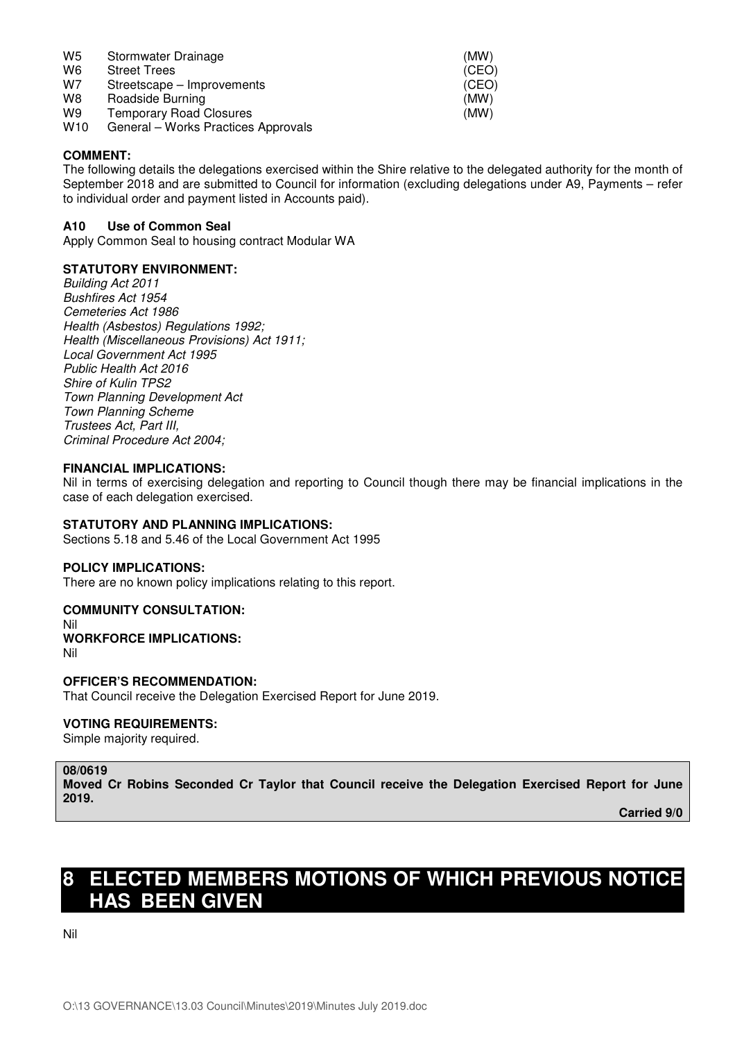| W <sub>5</sub>  | Stormwater Drainage                 | (MW)  |
|-----------------|-------------------------------------|-------|
| W <sub>6</sub>  | <b>Street Trees</b>                 | (CEO) |
| W7              | Streetscape – Improvements          | (CEO) |
| W8              | Roadside Burning                    | (MW)  |
| W9              | <b>Temporary Road Closures</b>      | (MW)  |
| W <sub>10</sub> | General – Works Practices Approvals |       |

# **COMMENT:**

The following details the delegations exercised within the Shire relative to the delegated authority for the month of September 2018 and are submitted to Council for information (excluding delegations under A9, Payments – refer to individual order and payment listed in Accounts paid).

# **A10 Use of Common Seal**

Apply Common Seal to housing contract Modular WA

# **STATUTORY ENVIRONMENT:**

Building Act 2011 Bushfires Act 1954 Cemeteries Act 1986 Health (Asbestos) Regulations 1992; Health (Miscellaneous Provisions) Act 1911; Local Government Act 1995 Public Health Act 2016 Shire of Kulin TPS2 Town Planning Development Act Town Planning Scheme Trustees Act, Part III, Criminal Procedure Act 2004;

## **FINANCIAL IMPLICATIONS:**

Nil in terms of exercising delegation and reporting to Council though there may be financial implications in the case of each delegation exercised.

# **STATUTORY AND PLANNING IMPLICATIONS:**

Sections 5.18 and 5.46 of the Local Government Act 1995

## **POLICY IMPLICATIONS:**

There are no known policy implications relating to this report.

## **COMMUNITY CONSULTATION:**

Nil **WORKFORCE IMPLICATIONS:**  Nil

## **OFFICER'S RECOMMENDATION:**

That Council receive the Delegation Exercised Report for June 2019.

# **VOTING REQUIREMENTS:**

Simple majority required.

#### **08/0619**

**Moved Cr Robins Seconded Cr Taylor that Council receive the Delegation Exercised Report for June 2019.** 

**Carried 9/0** 

# **8 ELECTED MEMBERS MOTIONS OF WHICH PREVIOUS NOTICE HAS BEEN GIVEN**

Nil